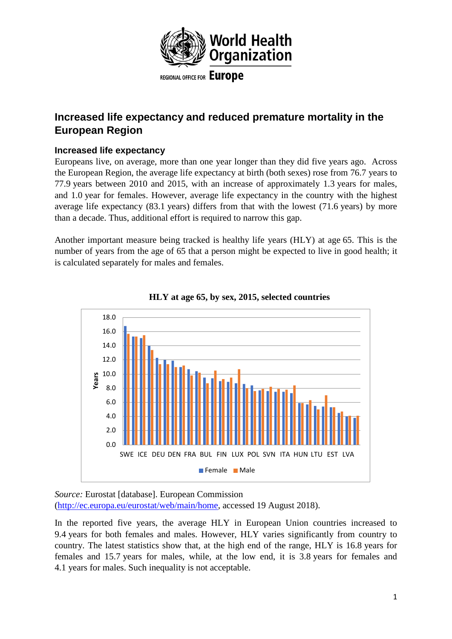

**Increased life expectancy and reduced premature mortality in the European Region** 

# **Increased life expectancy**

Europeans live, on average, more than one year longer than they did five years ago. Across the European Region, the average life expectancy at birth (both sexes) rose from 76.7 years to 77.9 years between 2010 and 2015, with an increase of approximately 1.3 years for males, and 1.0 year for females. However, average life expectancy in the country with the highest average life expectancy (83.1 years) differs from that with the lowest (71.6 years) by more than a decade. Thus, additional effort is required to narrow this gap.

Another important measure being tracked is healthy life years (HLY) at age 65. This is the number of years from the age of 65 that a person might be expected to live in good health; it is calculated separately for males and females.





*Source:* Eurostat [database]. European Commission

[\(http://ec.europa.eu/eurostat/web/main/home,](http://ec.europa.eu/eurostat/web/main/home) accessed 19 August 2018).

In the reported five years, the average HLY in European Union countries increased to 9.4 years for both females and males. However, HLY varies significantly from country to country. The latest statistics show that, at the high end of the range, HLY is 16.8 years for females and 15.7 years for males, while, at the low end, it is 3.8 years for females and 4.1 years for males. Such inequality is not acceptable.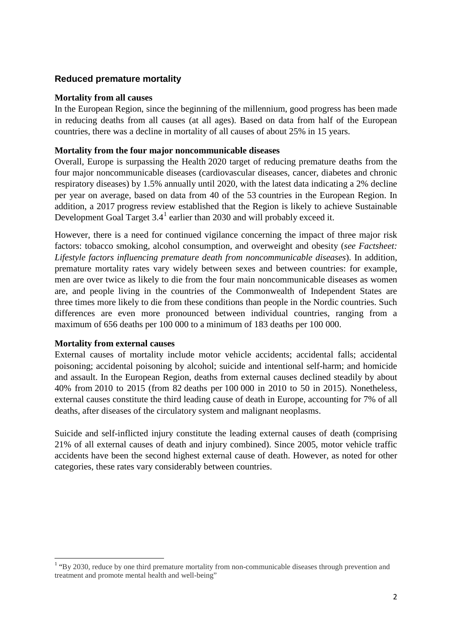## **Reduced premature mortality**

#### **Mortality from all causes**

In the European Region, since the beginning of the millennium, good progress has been made in reducing deaths from all causes (at all ages). Based on data from half of the European countries, there was a decline in mortality of all causes of about 25% in 15 years.

#### **Mortality from the four major noncommunicable diseases**

Overall, Europe is surpassing the Health 2020 target of reducing premature deaths from the four major noncommunicable diseases (cardiovascular diseases, cancer, diabetes and chronic respiratory diseases) by 1.5% annually until 2020, with the latest data indicating a 2% decline per year on average, based on data from 40 of the 53 countries in the European Region. In addition, a 2017 progress review established that the Region is likely to achieve Sustainable Development Goal Target  $3.4<sup>1</sup>$  $3.4<sup>1</sup>$  $3.4<sup>1</sup>$  earlier than 2030 and will probably exceed it.

However, there is a need for continued vigilance concerning the impact of three major risk factors: tobacco smoking, alcohol consumption, and overweight and obesity (*see Factsheet: Lifestyle factors influencing premature death from noncommunicable diseases*). In addition, premature mortality rates vary widely between sexes and between countries: for example, men are over twice as likely to die from the four main noncommunicable diseases as women are, and people living in the countries of the Commonwealth of Independent States are three times more likely to die from these conditions than people in the Nordic countries. Such differences are even more pronounced between individual countries, ranging from a maximum of 656 deaths per 100 000 to a minimum of 183 deaths per 100 000.

### **Mortality from external causes**

External causes of mortality include motor vehicle accidents; accidental falls; accidental poisoning; accidental poisoning by alcohol; suicide and intentional self-harm; and homicide and assault. In the European Region, deaths from external causes declined steadily by about 40% from 2010 to 2015 (from 82 deaths per 100 000 in 2010 to 50 in 2015). Nonetheless, external causes constitute the third leading cause of death in Europe, accounting for 7% of all deaths, after diseases of the circulatory system and malignant neoplasms.

Suicide and self-inflicted injury constitute the leading external causes of death (comprising 21% of all external causes of death and injury combined). Since 2005, motor vehicle traffic accidents have been the second highest external cause of death. However, as noted for other categories, these rates vary considerably between countries.

<span id="page-1-0"></span><sup>&</sup>lt;sup>1</sup> "By 2030, reduce by one third premature mortality from non-communicable diseases through prevention and treatment and promote mental health and well-being"